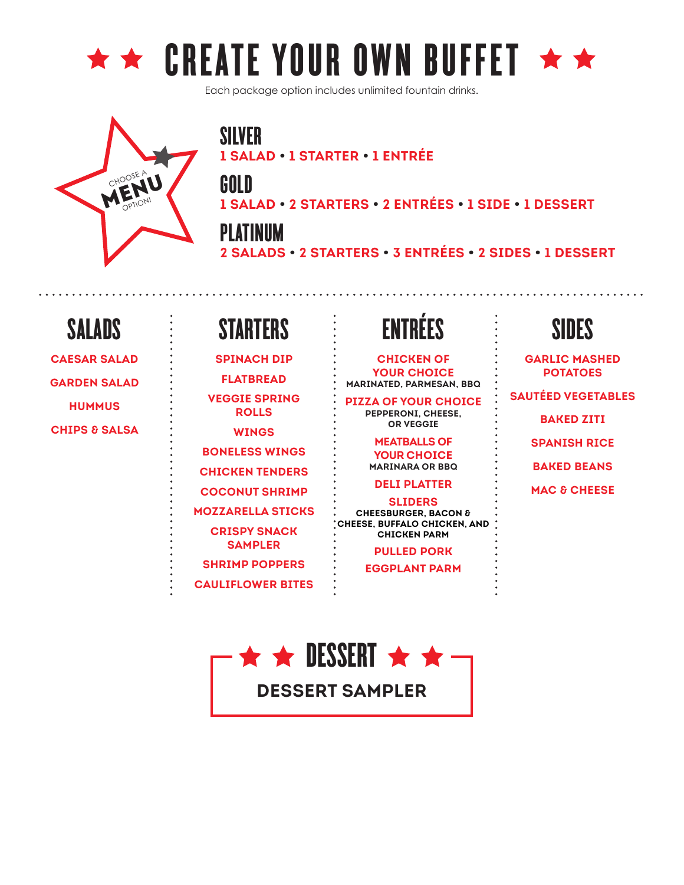

Each package option includes unlimited fountain drinks.



SILVER **1 SALAD • 1 STARTER • 1 ENTRÉE**

GOLD

**1 SALAD • 2 STARTERS • 2 ENTRÉES • 1 SIDE • 1 DESSERT**

PLATINUM **2 SALADS • 2 STARTERS • 3 ENTRÉES • 2 SIDES • 1 DESSERT**

**CAESAR SALAD GARDEN SALAD HUMMUS CHIPS & SALSA**

SALADS

### STARTERS

**SPINACH DIP FLATBREAD VEGGIE SPRING ROLLS WINGS BONELESS WINGS**

**CHICKEN TENDERS**

**COCONUT SHRIMP**

**MOZZARELLA STICKS CRISPY SNACK**

**SAMPLER**

**SHRIMP POPPERS**

**CAULIFLOWER BITES**

### ENTRÉES

**CHICKEN OF YOUR CHOICE MARINATED, PARMESAN, BBQ**

**PIZZA OF YOUR CHOICE PEPPERONI, CHEESE, OR VEGGIE**

> **MEATBALLS OF YOUR CHOICE MARINARA OR BBQ**

**DELI PLATTER**

**SLIDERS CHEESBURGER, BACON & CHEESE, BUFFALO CHICKEN, AND CHICKEN PARM**

**PULLED PORK**

**EGGPLANT PARM**

### SIDES

**GARLIC MASHED POTATOES SAUTÉED VEGETABLES BAKED ZITI**

**SPANISH RICE**

**BAKED BEANS**

**MAC & CHEESE**

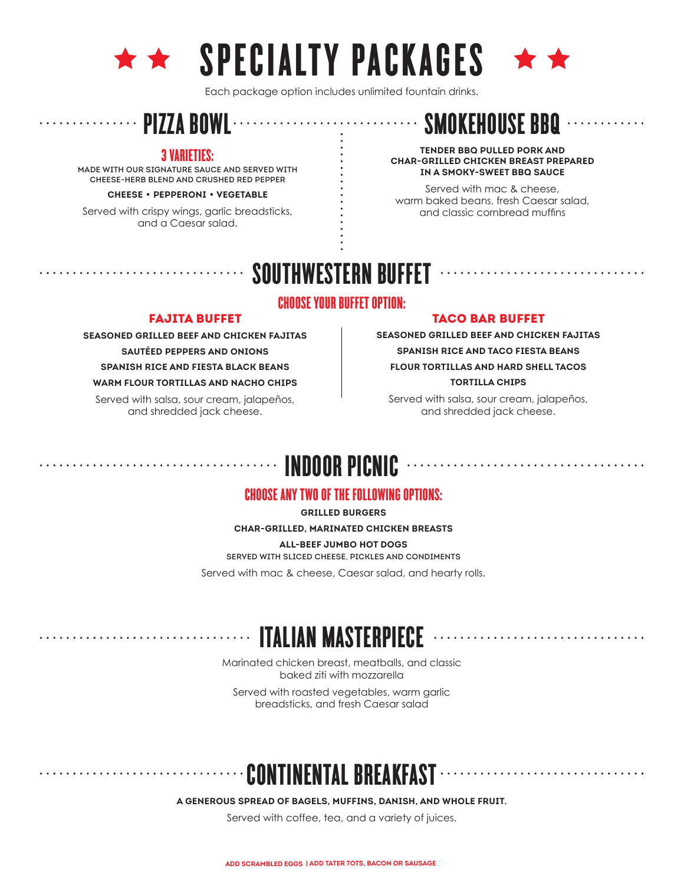

## $\star \star$  SPECIALTY PACKAGES

Each package option includes unlimited fountain drinks.

### 3 VARIETIES:

MADE WITH OUR SIGNATURE SAUCE AND SERVED WITH CHEESE-HERB BLEND AND CRUSHED RED PEPPER

**CHEESE** • **PEPPERONI** • **VEGETABLE**

Served with crispy wings, garlic breadsticks, and a Caesar salad.



#### **TENDER BBQ PULLED PORK AND CHAR-GRILLED CHICKEN BREAST PREPARED IN A SMOKY-SWEET BBQ SAUCE**

Served with mac & cheese, warm baked beans, fresh Caesar salad, and classic cornbread muffins

### SOUTHWESTERN BUFFET

#### CHOOSE YOUR BUFFET OPTION:

#### FAJITA BUFFET

**SEASONED GRILLED BEEF AND CHICKEN FAJITAS SAUTÉED PEPPERS AND ONIONS SPANISH RICE AND FIESTA BLACK BEANS**

**WARM FLOUR TORTILLAS AND NACHO CHIPS**

Served with salsa, sour cream, jalapeños, and shredded jack cheese.

. . . . . . . . .

#### TACO BAR BUFFET

**SEASONED GRILLED BEEF AND CHICKEN FAJITAS SPANISH RICE AND TACO FIESTA BEANS FLOUR TORTILLAS AND HARD SHELL TACOS TORTILLA CHIPS**

Served with salsa, sour cream, jalapeños, and shredded jack cheese.

### INDOOR PICNIC

#### CHOOSE ANY TWO OF THE FOLLOWING OPTIONS:

**GRILLED BURGERS**

**CHAR-GRILLED, MARINATED CHICKEN BREASTS ALL-BEEF JUMBO HOT DOGS** SERVED WITH SLICED CHEESE, PICKLES AND CONDIMENTS Served with mac & cheese, Caesar salad, and hearty rolls.

### ITALIAN MASTERPIECE

Marinated chicken breast, meatballs, and classic baked ziti with mozzarella

Served with roasted vegetables, warm garlic breadsticks, and fresh Caesar salad

### CONTINENTAL BREAKFAST

**A GENEROUS SPREAD OF BAGELS, MUFFINS, DANISH, AND WHOLE FRUIT.**

Served with coffee, tea, and a variety of juices.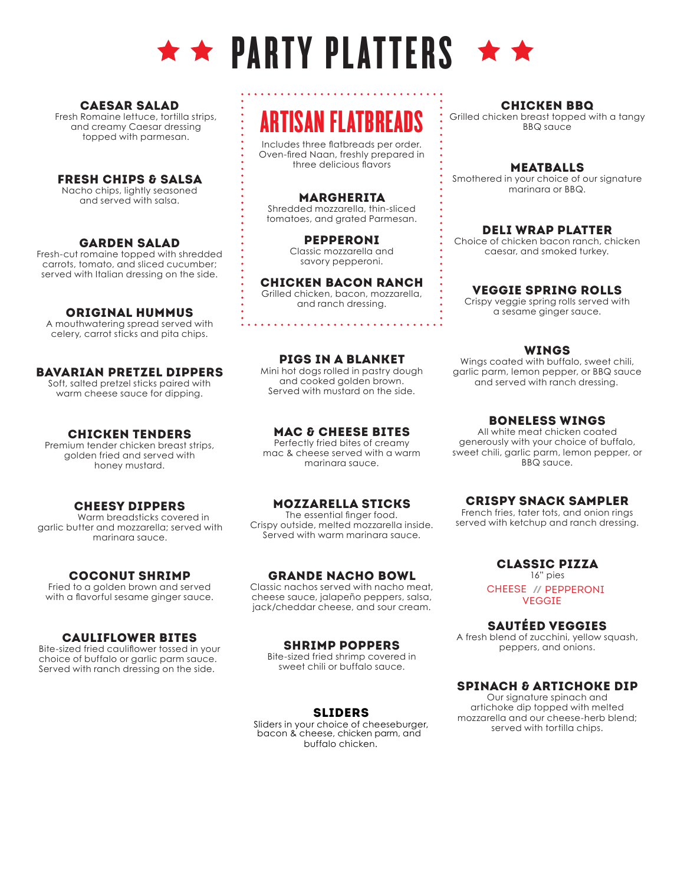

#### CAESAR SALAD

topped with parmesan. and creamy Caesar dressing Fresh Romaine lettuce, tortilla strips,

#### FRESH CHIPS & SALSA

and served with salsa. Nacho chips, lightly seasoned

#### GARDEN SALAD

served with Italian dressing on the side. carrots, tomato, and sliced cucumber; Fresh-cut romaine topped with shredded

#### ORIGINAL HUMMUS

celery, carrot sticks and pita chips. A mouthwatering spread served with

#### BAVARIAN PRETZEL DIPPERS

warm cheese sauce for dipping. Soft, salted pretzel sticks paired with

#### CHICKEN TENDERS

honey mustard. golden fried and served with Premium tender chicken breast strips,

#### CHEESY DIPPERS

marinara sauce. garlic butter and mozzarella; served with Warm breadsticks covered in

#### COCONUT SHRIMP

with a flavorful sesame ginger sauce. Fried to a golden brown and served

#### CAULIFLOWER BITES

Served with ranch dressing on the side. choice of buffalo or garlic parm sauce. Bite-sized fried cauliflower tossed in your

### ARTISAN FI ATRRFADS

Includes three flatbreads per order. Oven-fired Naan, freshly prepared in three delicious flavors

#### MARGHERITA

Shredded mozzarella, thin-sliced tomatoes, and grated Parmesan.

> PEPPERONI Classic mozzarella and savory pepperoni.

#### CHICKEN BACON RANCH Grilled chicken, bacon, mozzarella,

and ranch dressing.

#### PIGS IN A BLANKET

Mini hot dogs rolled in pastry dough and cooked golden brown. Served with mustard on the side.

#### MAC & CHEESE BITES

Perfectly fried bites of creamy mac & cheese served with a warm marinara sauce.

#### MOZZARELLA STICKS

The essential finger food. Crispy outside, melted mozzarella inside. Served with warm marinara sauce.

#### GRANDE NACHO BOWL

Classic nachos served with nacho meat, cheese sauce, jalapeño peppers, salsa, jack/cheddar cheese, and sour cream.

#### SHRIMP POPPERS

Bite-sized fried shrimp covered in sweet chili or buffalo sauce.

#### SLIDERS

buffalo chicken. Sliders in your choice of cheeseburger, bacon & cheese, chicken parm, and

CHICKEN BBQ Grilled chicken breast topped with a tangy BBQ sauce

#### MEATBALLS

Smothered in your choice of our signature marinara or BBQ.

#### DELI WRAP PLATTER

Choice of chicken bacon ranch, chicken caesar, and smoked turkey.

#### VEGGIE SPRING ROLLS

Crispy veggie spring rolls served with a sesame ginger sauce.

#### WINGS

Wings coated with buffalo, sweet chili, garlic parm, lemon pepper, or BBQ sauce and served with ranch dressing.

#### BONELESS WINGS

All white meat chicken coated generously with your choice of buffalo, sweet chili, garlic parm, lemon pepper, or BBQ sauce.

#### CRISPY SNACK SAMPLER

French fries, tater tots, and onion rings served with ketchup and ranch dressing.

#### CLASSIC PIZZA

16" pies CHEESE **//** PEPPERONI VEGGIE

SAUTÉED VEGGIES

A fresh blend of zucchini, yellow squash, peppers, and onions.

#### SPINACH & ARTICHOKE DIP

Our signature spinach and artichoke dip topped with melted mozzarella and our cheese-herb blend; served with tortilla chips.